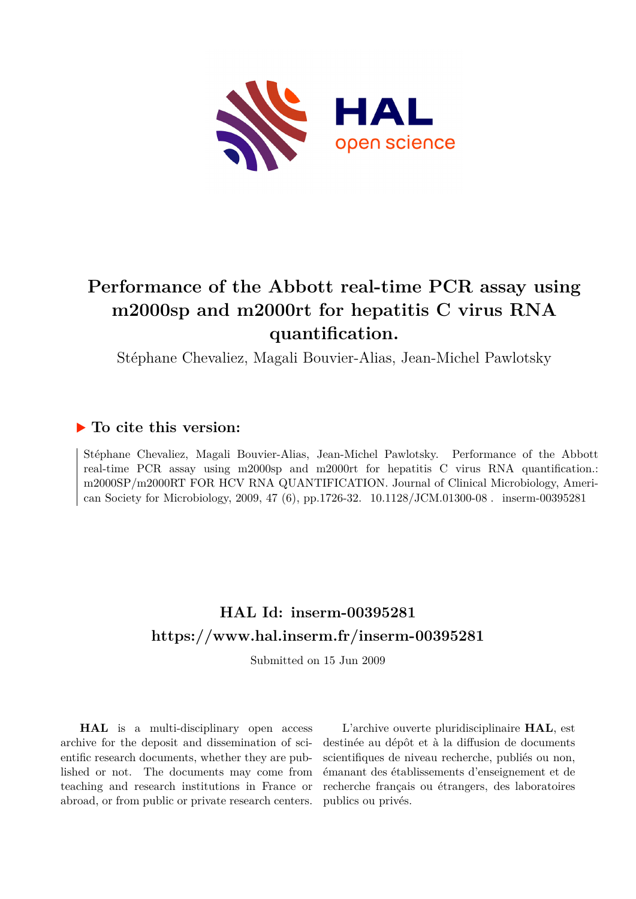

# **Performance of the Abbott real-time PCR assay using m2000sp and m2000rt for hepatitis C virus RNA quantification.**

Stéphane Chevaliez, Magali Bouvier-Alias, Jean-Michel Pawlotsky

### **To cite this version:**

Stéphane Chevaliez, Magali Bouvier-Alias, Jean-Michel Pawlotsky. Performance of the Abbott real-time PCR assay using m2000sp and m2000rt for hepatitis C virus RNA quantification.: m2000SP/m2000RT FOR HCV RNA QUANTIFICATION. Journal of Clinical Microbiology, American Society for Microbiology, 2009, 47 (6), pp.1726-32. 10.1128/JCM.01300-08. inserm-00395281

## **HAL Id: inserm-00395281 <https://www.hal.inserm.fr/inserm-00395281>**

Submitted on 15 Jun 2009

**HAL** is a multi-disciplinary open access archive for the deposit and dissemination of scientific research documents, whether they are published or not. The documents may come from teaching and research institutions in France or abroad, or from public or private research centers.

L'archive ouverte pluridisciplinaire **HAL**, est destinée au dépôt et à la diffusion de documents scientifiques de niveau recherche, publiés ou non, émanant des établissements d'enseignement et de recherche français ou étrangers, des laboratoires publics ou privés.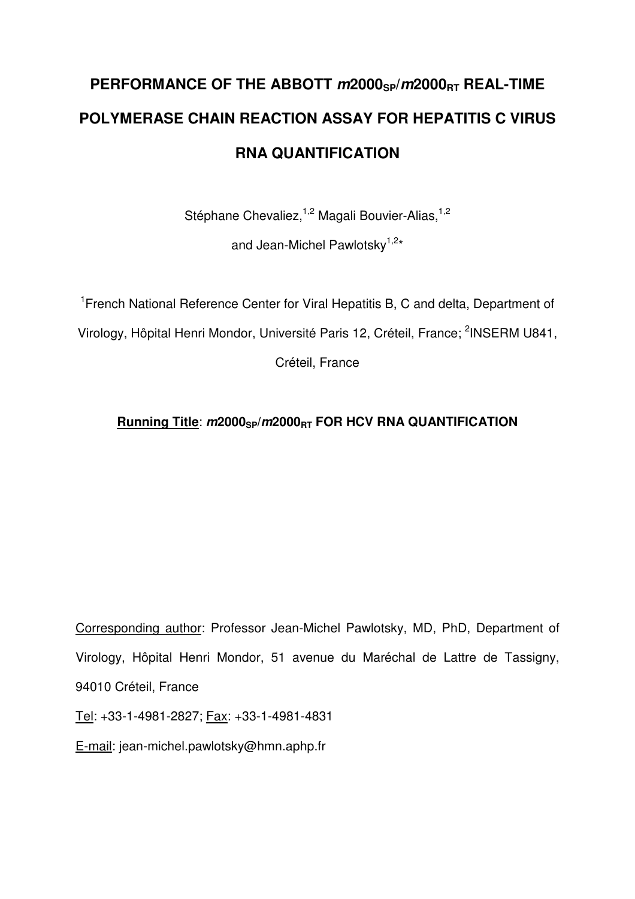# **PERFORMANCE OF THE ABBOTT m2000SP/m2000RT REAL-TIME POLYMERASE CHAIN REACTION ASSAY FOR HEPATITIS C VIRUS RNA QUANTIFICATION**

Stéphane Chevaliez,<sup>1,2</sup> Magali Bouvier-Alias,<sup>1,2</sup>

and Jean-Michel Pawlotsky<sup>1,2\*</sup>

<sup>1</sup> French National Reference Center for Viral Hepatitis B, C and delta, Department of Virology, Hôpital Henri Mondor, Université Paris 12, Créteil, France; <sup>2</sup>INSERM U841,

Créteil, France

## **Running Title**: **m2000SP/m2000RT FOR HCV RNA QUANTIFICATION**

Corresponding author: Professor Jean-Michel Pawlotsky, MD, PhD, Department of Virology, Hôpital Henri Mondor, 51 avenue du Maréchal de Lattre de Tassigny, 94010 Créteil, France

Tel: +33-1-4981-2827; Fax: +33-1-4981-4831

E-mail: jean-michel.pawlotsky@hmn.aphp.fr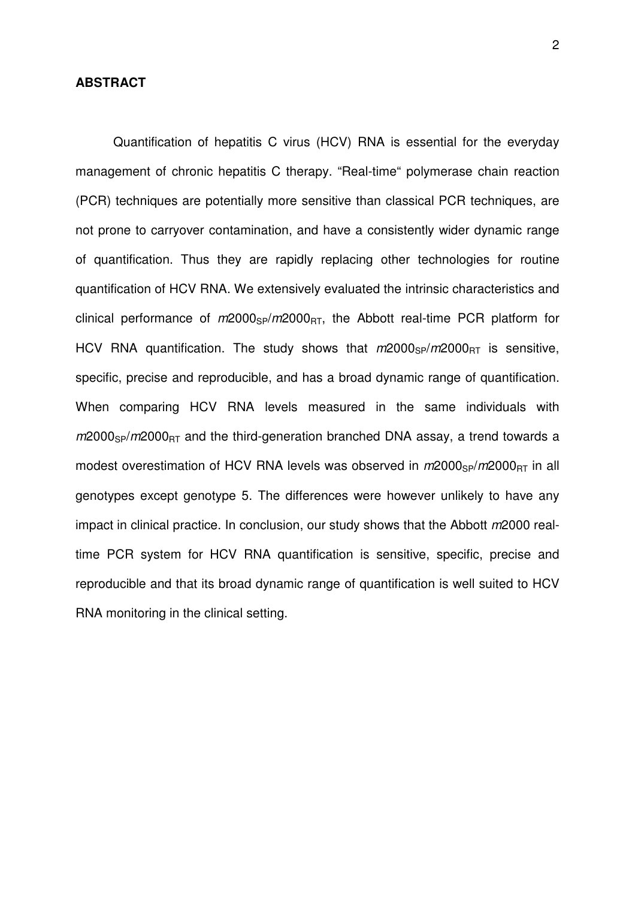#### **ABSTRACT**

Quantification of hepatitis C virus (HCV) RNA is essential for the everyday management of chronic hepatitis C therapy. "Real-time" polymerase chain reaction (PCR) techniques are potentially more sensitive than classical PCR techniques, are not prone to carryover contamination, and have a consistently wider dynamic range of quantification. Thus they are rapidly replacing other technologies for routine quantification of HCV RNA. We extensively evaluated the intrinsic characteristics and clinical performance of  $m2000_{SP}/m2000_{RT}$ , the Abbott real-time PCR platform for HCV RNA quantification. The study shows that  $m/2000_{SP}/m/2000_{RT}$  is sensitive, specific, precise and reproducible, and has a broad dynamic range of quantification. When comparing HCV RNA levels measured in the same individuals with  $m2000_{SP}/m2000_{RT}$  and the third-generation branched DNA assay, a trend towards a modest overestimation of HCV RNA levels was observed in  $m2000_{SP}/m2000_{BT}$  in all genotypes except genotype 5. The differences were however unlikely to have any impact in clinical practice. In conclusion, our study shows that the Abbott m2000 realtime PCR system for HCV RNA quantification is sensitive, specific, precise and reproducible and that its broad dynamic range of quantification is well suited to HCV RNA monitoring in the clinical setting.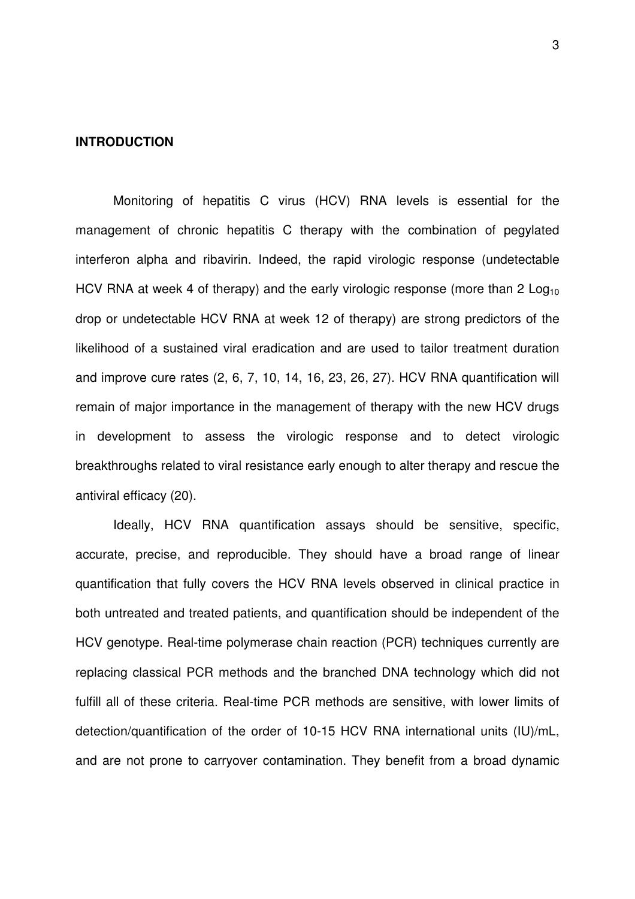#### **INTRODUCTION**

Monitoring of hepatitis C virus (HCV) RNA levels is essential for the management of chronic hepatitis C therapy with the combination of pegylated interferon alpha and ribavirin. Indeed, the rapid virologic response (undetectable HCV RNA at week 4 of therapy) and the early virologic response (more than 2  $Log<sub>10</sub>$ drop or undetectable HCV RNA at week 12 of therapy) are strong predictors of the likelihood of a sustained viral eradication and are used to tailor treatment duration and improve cure rates (2, 6, 7, 10, 14, 16, 23, 26, 27). HCV RNA quantification will remain of major importance in the management of therapy with the new HCV drugs in development to assess the virologic response and to detect virologic breakthroughs related to viral resistance early enough to alter therapy and rescue the antiviral efficacy (20).

Ideally, HCV RNA quantification assays should be sensitive, specific, accurate, precise, and reproducible. They should have a broad range of linear quantification that fully covers the HCV RNA levels observed in clinical practice in both untreated and treated patients, and quantification should be independent of the HCV genotype. Real-time polymerase chain reaction (PCR) techniques currently are replacing classical PCR methods and the branched DNA technology which did not fulfill all of these criteria. Real-time PCR methods are sensitive, with lower limits of detection/quantification of the order of 10-15 HCV RNA international units (IU)/mL, and are not prone to carryover contamination. They benefit from a broad dynamic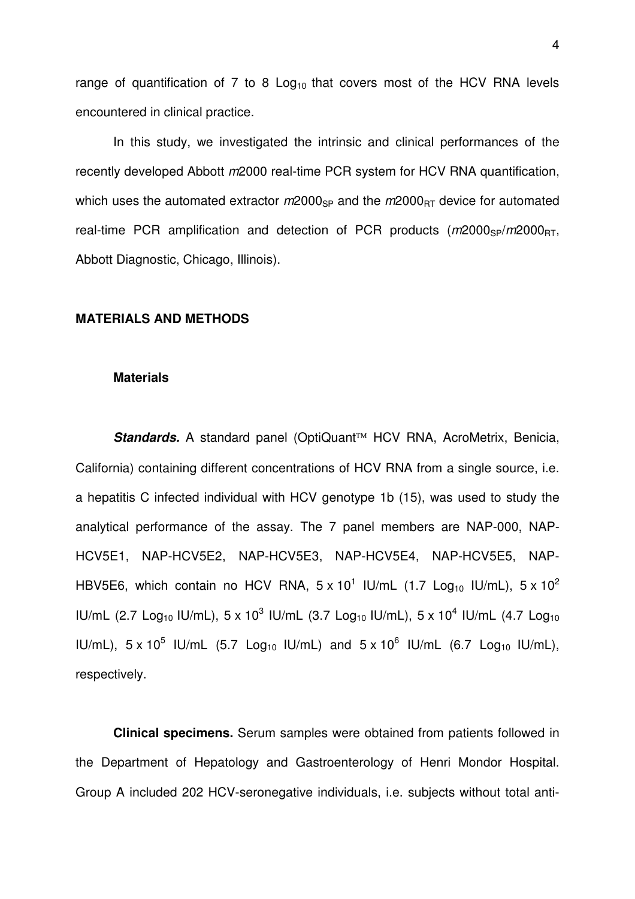range of quantification of 7 to 8  $Log<sub>10</sub>$  that covers most of the HCV RNA levels encountered in clinical practice.

In this study, we investigated the intrinsic and clinical performances of the recently developed Abbott  $m2000$  real-time PCR system for HCV RNA quantification, which uses the automated extractor  $m2000_{SP}$  and the  $m2000_{BT}$  device for automated real-time PCR amplification and detection of PCR products  $(m2000_{SP}/m2000_{BT})$ , Abbott Diagnostic, Chicago, Illinois).

#### **MATERIALS AND METHODS**

#### **Materials**

Standards. A standard panel (OptiQuant<sup>™</sup> HCV RNA, AcroMetrix, Benicia, California) containing different concentrations of HCV RNA from a single source, i.e. a hepatitis C infected individual with HCV genotype 1b (15), was used to study the analytical performance of the assay. The 7 panel members are NAP-000, NAP-HCV5E1, NAP-HCV5E2, NAP-HCV5E3, NAP-HCV5E4, NAP-HCV5E5, NAP-HBV5E6, which contain no HCV RNA,  $5 \times 10^1$  IU/mL (1.7 Log<sub>10</sub> IU/mL),  $5 \times 10^2$ IU/mL (2.7 Log<sub>10</sub> IU/mL), 5 x 10<sup>3</sup> IU/mL (3.7 Log<sub>10</sub> IU/mL), 5 x 10<sup>4</sup> IU/mL (4.7 Log<sub>10</sub> IU/mL),  $5 \times 10^5$  IU/mL (5.7 Log<sub>10</sub> IU/mL) and  $5 \times 10^6$  IU/mL (6.7 Log<sub>10</sub> IU/mL), respectively.

**Clinical specimens.** Serum samples were obtained from patients followed in the Department of Hepatology and Gastroenterology of Henri Mondor Hospital. Group A included 202 HCV-seronegative individuals, i.e. subjects without total anti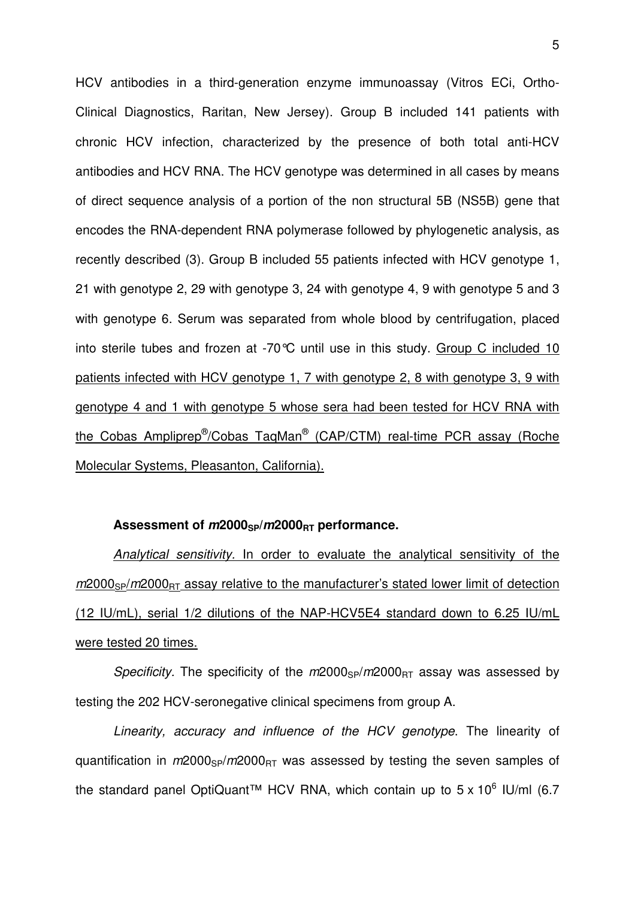HCV antibodies in a third-generation enzyme immunoassay (Vitros ECi, Ortho-Clinical Diagnostics, Raritan, New Jersey). Group B included 141 patients with chronic HCV infection, characterized by the presence of both total anti-HCV antibodies and HCV RNA. The HCV genotype was determined in all cases by means of direct sequence analysis of a portion of the non structural 5B (NS5B) gene that encodes the RNA-dependent RNA polymerase followed by phylogenetic analysis, as recently described (3). Group B included 55 patients infected with HCV genotype 1, 21 with genotype 2, 29 with genotype 3, 24 with genotype 4, 9 with genotype 5 and 3 with genotype 6. Serum was separated from whole blood by centrifugation, placed into sterile tubes and frozen at -70°C until use in this study. Group C included 10 patients infected with HCV genotype 1, 7 with genotype 2, 8 with genotype 3, 9 with genotype 4 and 1 with genotype 5 whose sera had been tested for HCV RNA with the Cobas Ampliprep<sup>®</sup>/Cobas TaqMan<sup>®</sup> (CAP/CTM) real-time PCR assay (Roche Molecular Systems, Pleasanton, California).

#### **Assessment of m2000SP/m2000RT performance.**

Analytical sensitivity. In order to evaluate the analytical sensitivity of the  $m2000_{\rm SP}/m2000_{\rm BT}$  assay relative to the manufacturer's stated lower limit of detection (12 IU/mL), serial 1/2 dilutions of the NAP-HCV5E4 standard down to 6.25 IU/mL were tested 20 times.

Specificity. The specificity of the  $m2000_{SP}/m2000_{BT}$  assay was assessed by testing the 202 HCV-seronegative clinical specimens from group A.

Linearity, accuracy and influence of the HCV genotype. The linearity of quantification in  $m2000_{SP}/m2000_{RT}$  was assessed by testing the seven samples of the standard panel OptiQuant<sup>™</sup> HCV RNA, which contain up to  $5 \times 10^6$  IU/ml (6.7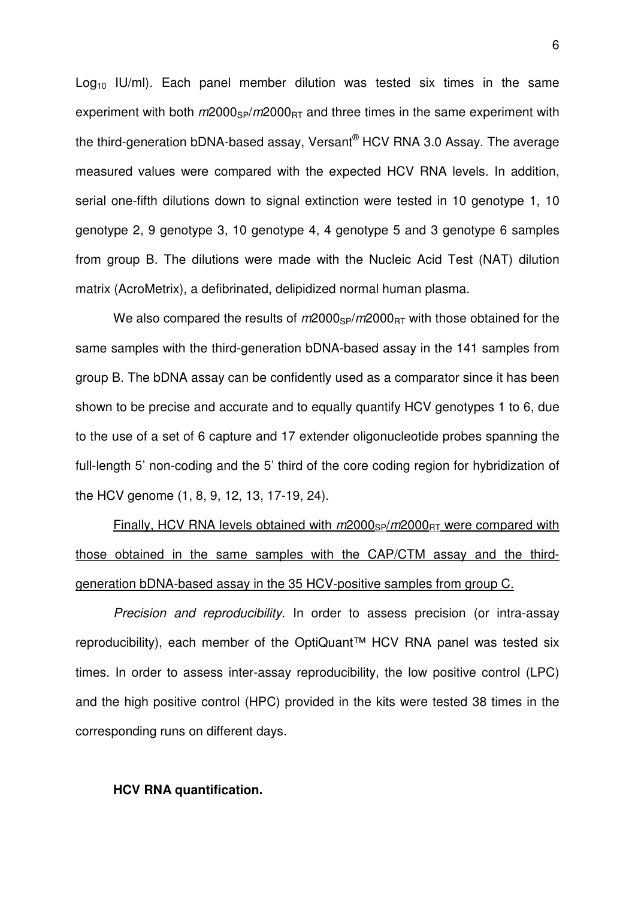$Log<sub>10</sub>$  IU/ml). Each panel member dilution was tested six times in the same experiment with both  $m2000_{SP}/m2000_{BT}$  and three times in the same experiment with the third-generation bDNA-based assay, Versant® HCV RNA 3.0 Assay. The average measured values were compared with the expected HCV RNA levels. In addition, serial one-fifth dilutions down to signal extinction were tested in 10 genotype 1, 10 genotype 2, 9 genotype 3, 10 genotype 4, 4 genotype 5 and 3 genotype 6 samples from group B. The dilutions were made with the Nucleic Acid Test (NAT) dilution matrix (AcroMetrix), a defibrinated, delipidized normal human plasma.

We also compared the results of  $m2000_{SP}/m2000_{RT}$  with those obtained for the same samples with the third-generation bDNA-based assay in the 141 samples from group B. The bDNA assay can be confidently used as a comparator since it has been shown to be precise and accurate and to equally quantify HCV genotypes 1 to 6, due to the use of a set of 6 capture and 17 extender oligonucleotide probes spanning the full-length 5' non-coding and the 5' third of the core coding region for hybridization of the HCV genome (1, 8, 9, 12, 13, 17-19, 24).

Finally, HCV RNA levels obtained with  $m2000_{SP}/m2000_{BT}$  were compared with those obtained in the same samples with the CAP/CTM assay and the thirdgeneration bDNA-based assay in the 35 HCV-positive samples from group C.

Precision and reproducibility. In order to assess precision (or intra-assay reproducibility), each member of the OptiQuant™ HCV RNA panel was tested six times. In order to assess inter-assay reproducibility, the low positive control (LPC) and the high positive control (HPC) provided in the kits were tested 38 times in the corresponding runs on different days.

#### **HCV RNA quantification.**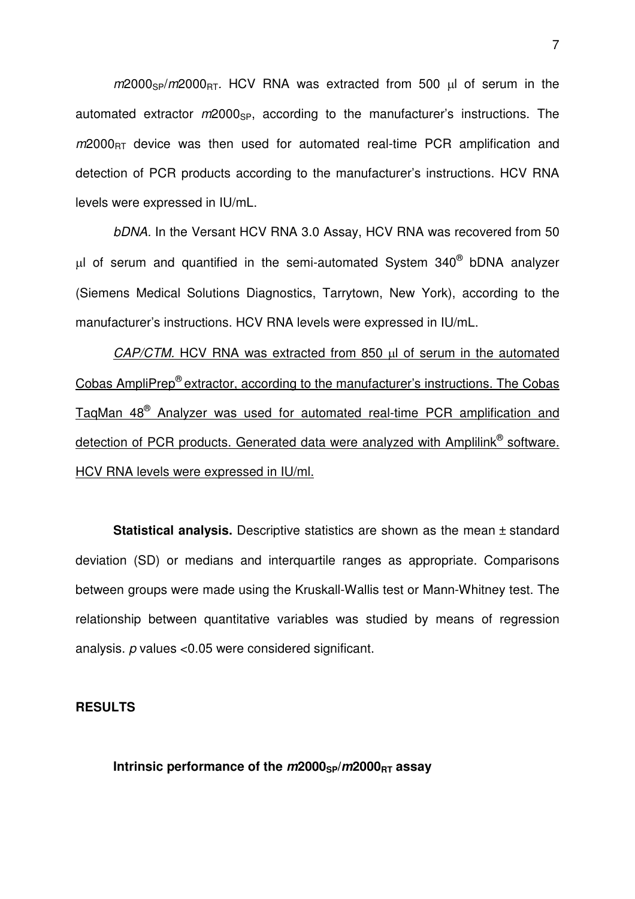$m2000<sub>SP</sub>/m2000<sub>RT</sub>$ . HCV RNA was extracted from 500 µl of serum in the automated extractor  $m2000_{SP}$ , according to the manufacturer's instructions. The  $m2000<sub>RT</sub>$  device was then used for automated real-time PCR amplification and detection of PCR products according to the manufacturer's instructions. HCV RNA levels were expressed in IU/mL.

bDNA. In the Versant HCV RNA 3.0 Assay, HCV RNA was recovered from 50  $\mu$ l of serum and quantified in the semi-automated System 340 $^\circ$  bDNA analyzer (Siemens Medical Solutions Diagnostics, Tarrytown, New York), according to the manufacturer's instructions. HCV RNA levels were expressed in IU/mL.

CAP/CTM. HCV RNA was extracted from 850 µl of serum in the automated Cobas AmpliPrep® extractor, according to the manufacturer's instructions. The Cobas TaqMan 48® Analyzer was used for automated real-time PCR amplification and detection of PCR products. Generated data were analyzed with Amplilink® software. HCV RNA levels were expressed in IU/ml.

**Statistical analysis.** Descriptive statistics are shown as the mean ± standard deviation (SD) or medians and interquartile ranges as appropriate. Comparisons between groups were made using the Kruskall-Wallis test or Mann-Whitney test. The relationship between quantitative variables was studied by means of regression analysis. p values <0.05 were considered significant.

#### **RESULTS**

**Intrinsic performance of the**  $m2000_{SP}/m2000_{BT}$  **assay**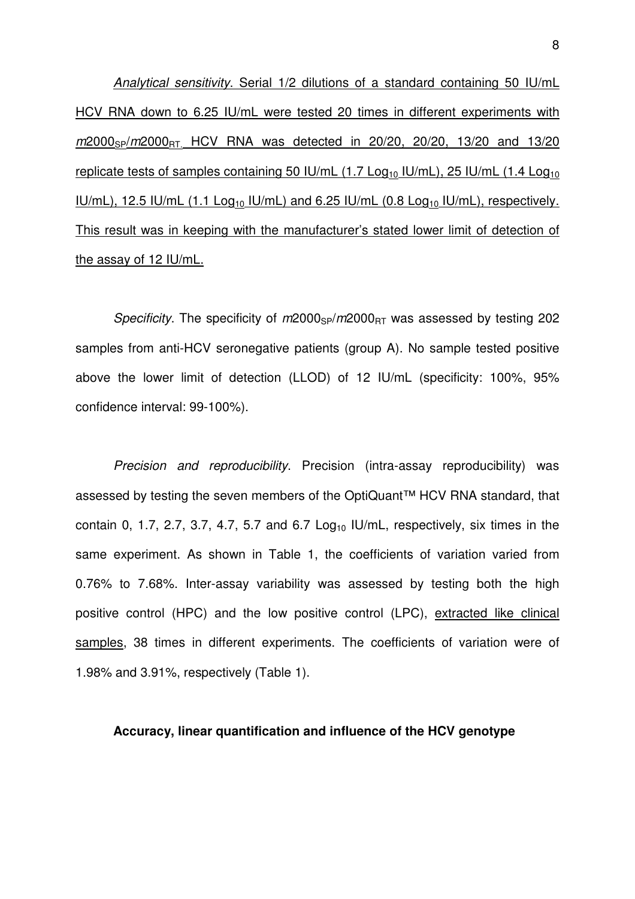Analytical sensitivity. Serial 1/2 dilutions of a standard containing 50 IU/mL HCV RNA down to 6.25 IU/mL were tested 20 times in different experiments with m2000<sub>SP</sub>/m2000<sub>RT.</sub> HCV RNA was detected in 20/20, 20/20, 13/20 and 13/20 replicate tests of samples containing 50 IU/mL  $(1.7 \text{ Log}_{10}$  IU/mL), 25 IU/mL  $(1.4 \text{ Log}_{10}$ IU/mL), 12.5 IU/mL (1.1 Log<sub>10</sub> IU/mL) and 6.25 IU/mL (0.8 Log<sub>10</sub> IU/mL), respectively. This result was in keeping with the manufacturer's stated lower limit of detection of the assay of 12 IU/mL.

Specificity. The specificity of  $m2000_{SP}/m2000_{RT}$  was assessed by testing 202 samples from anti-HCV seronegative patients (group A). No sample tested positive above the lower limit of detection (LLOD) of 12 IU/mL (specificity: 100%, 95% confidence interval: 99-100%).

Precision and reproducibility. Precision (intra-assay reproducibility) was assessed by testing the seven members of the OptiQuant™ HCV RNA standard, that contain 0, 1.7, 2.7, 3.7, 4.7, 5.7 and 6.7 Log<sub>10</sub> IU/mL, respectively, six times in the same experiment. As shown in Table 1, the coefficients of variation varied from 0.76% to 7.68%. Inter-assay variability was assessed by testing both the high positive control (HPC) and the low positive control (LPC), extracted like clinical samples, 38 times in different experiments. The coefficients of variation were of 1.98% and 3.91%, respectively (Table 1).

#### **Accuracy, linear quantification and influence of the HCV genotype**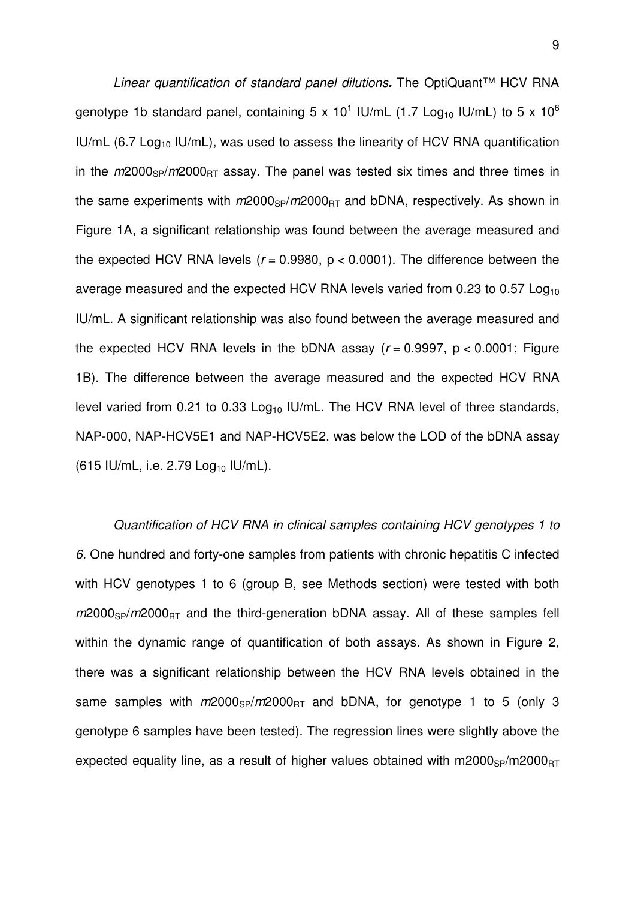Linear quantification of standard panel dilutions**.** The OptiQuant™ HCV RNA genotype 1b standard panel, containing 5 x 10<sup>1</sup> IU/mL (1.7 Log<sub>10</sub> IU/mL) to 5 x 10<sup>6</sup>  $IU/mL$  (6.7 Log<sub>10</sub> IU/mL), was used to assess the linearity of HCV RNA quantification in the  $m2000<sub>SP</sub>/m2000<sub>BT</sub>$  assay. The panel was tested six times and three times in the same experiments with  $m2000_{SP}/m2000_{BT}$  and bDNA, respectively. As shown in Figure 1A, a significant relationship was found between the average measured and the expected HCV RNA levels ( $r = 0.9980$ ,  $p < 0.0001$ ). The difference between the average measured and the expected HCV RNA levels varied from 0.23 to 0.57 Log<sub>10</sub> IU/mL. A significant relationship was also found between the average measured and the expected HCV RNA levels in the bDNA assay  $(r = 0.9997, p < 0.0001$ ; Figure 1B). The difference between the average measured and the expected HCV RNA level varied from 0.21 to 0.33  $Log<sub>10</sub>$  IU/mL. The HCV RNA level of three standards, NAP-000, NAP-HCV5E1 and NAP-HCV5E2, was below the LOD of the bDNA assay  $(615 \text{ IU/mL}, i.e. 2.79 \text{ Log}_{10} \text{ IU/mL}).$ 

Quantification of HCV RNA in clinical samples containing HCV genotypes 1 to 6. One hundred and forty-one samples from patients with chronic hepatitis C infected with HCV genotypes 1 to 6 (group B, see Methods section) were tested with both  $m2000_{SP}/m2000_{BT}$  and the third-generation bDNA assay. All of these samples fell within the dynamic range of quantification of both assays. As shown in Figure 2, there was a significant relationship between the HCV RNA levels obtained in the same samples with  $m2000_{SP}/m2000_{RT}$  and bDNA, for genotype 1 to 5 (only 3 genotype 6 samples have been tested). The regression lines were slightly above the expected equality line, as a result of higher values obtained with  $m2000_{SP}/m2000_{BT}$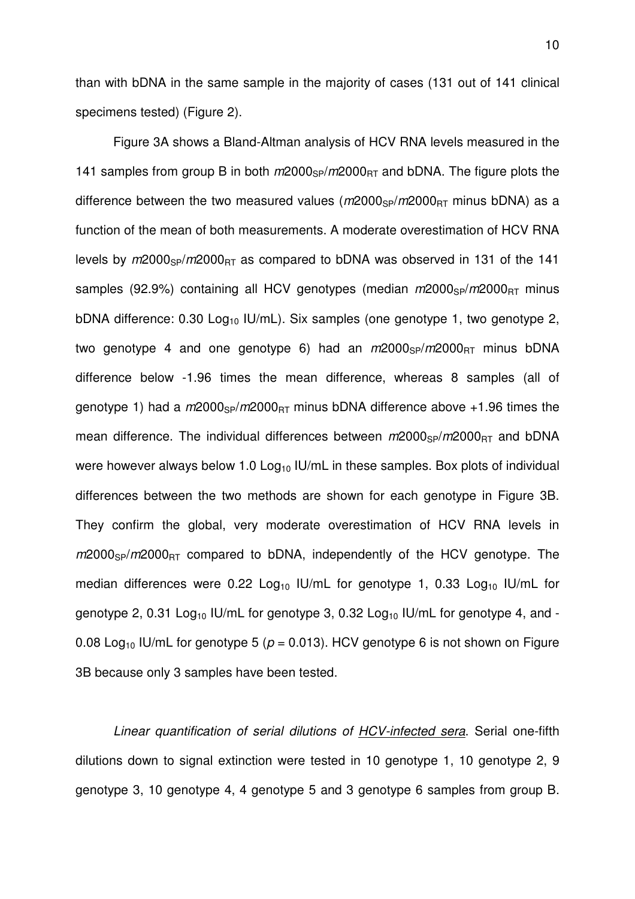than with bDNA in the same sample in the majority of cases (131 out of 141 clinical specimens tested) (Figure 2).

Figure 3A shows a Bland-Altman analysis of HCV RNA levels measured in the 141 samples from group B in both  $m2000_{SP}/m2000_{BT}$  and bDNA. The figure plots the difference between the two measured values  $(m2000<sub>SP</sub>/m2000<sub>RT</sub>$  minus bDNA) as a function of the mean of both measurements. A moderate overestimation of HCV RNA levels by  $m2000_{SP}/m2000_{RT}$  as compared to bDNA was observed in 131 of the 141 samples (92.9%) containing all HCV genotypes (median  $m/2000_{SP}/m/2000_{BT}$  minus bDNA difference: 0.30  $Log_{10}$  IU/mL). Six samples (one genotype 1, two genotype 2, two genotype 4 and one genotype 6) had an  $m/2000_{SP}/m/2000_{BT}$  minus bDNA difference below -1.96 times the mean difference, whereas 8 samples (all of genotype 1) had a  $m2000_{SP}/m2000_{BT}$  minus bDNA difference above +1.96 times the mean difference. The individual differences between  $m/2000_{\rm SP}/m/2000_{\rm RT}$  and bDNA were however always below 1.0  $Log_{10}$  IU/mL in these samples. Box plots of individual differences between the two methods are shown for each genotype in Figure 3B. They confirm the global, very moderate overestimation of HCV RNA levels in  $m2000<sub>SP</sub>/m2000<sub>RT</sub>$  compared to bDNA, independently of the HCV genotype. The median differences were  $0.22$  Log<sub>10</sub> IU/mL for genotype 1, 0.33 Log<sub>10</sub> IU/mL for genotype 2, 0.31 Log<sub>10</sub> IU/mL for genotype 3, 0.32 Log<sub>10</sub> IU/mL for genotype 4, and -0.08 Log<sub>10</sub> IU/mL for genotype 5 ( $p = 0.013$ ). HCV genotype 6 is not shown on Figure 3B because only 3 samples have been tested.

Linear quantification of serial dilutions of HCV-infected sera. Serial one-fifth dilutions down to signal extinction were tested in 10 genotype 1, 10 genotype 2, 9 genotype 3, 10 genotype 4, 4 genotype 5 and 3 genotype 6 samples from group B.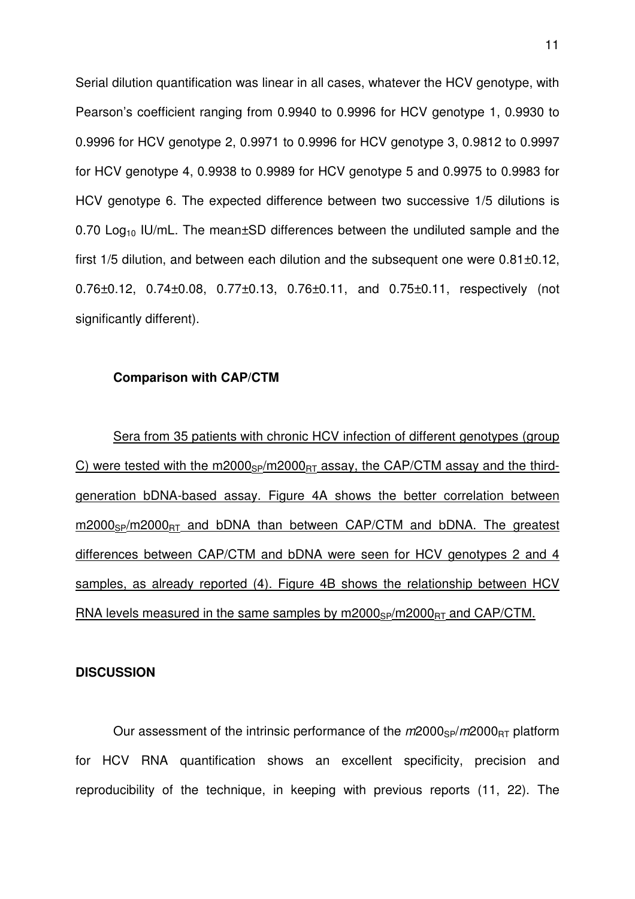Serial dilution quantification was linear in all cases, whatever the HCV genotype, with Pearson's coefficient ranging from 0.9940 to 0.9996 for HCV genotype 1, 0.9930 to 0.9996 for HCV genotype 2, 0.9971 to 0.9996 for HCV genotype 3, 0.9812 to 0.9997 for HCV genotype 4, 0.9938 to 0.9989 for HCV genotype 5 and 0.9975 to 0.9983 for HCV genotype 6. The expected difference between two successive 1/5 dilutions is 0.70 Log<sub>10</sub> IU/mL. The mean $\pm$ SD differences between the undiluted sample and the first 1/5 dilution, and between each dilution and the subsequent one were 0.81±0.12, 0.76±0.12, 0.74±0.08, 0.77±0.13, 0.76±0.11, and 0.75±0.11, respectively (not significantly different).

#### **Comparison with CAP/CTM**

Sera from 35 patients with chronic HCV infection of different genotypes (group C) were tested with the m2000<sub>SP</sub>/m2000<sub>BT</sub> assay, the CAP/CTM assay and the thirdgeneration bDNA-based assay. Figure 4A shows the better correlation between  $m2000_{SP}/m2000_{BT}$  and bDNA than between CAP/CTM and bDNA. The greatest differences between CAP/CTM and bDNA were seen for HCV genotypes 2 and 4 samples, as already reported (4). Figure 4B shows the relationship between HCV RNA levels measured in the same samples by  $m2000_{SP}/m2000_{BT}$  and CAP/CTM.

#### **DISCUSSION**

Our assessment of the intrinsic performance of the  $m2000_{SP}/m2000_{BT}$  platform for HCV RNA quantification shows an excellent specificity, precision and reproducibility of the technique, in keeping with previous reports (11, 22). The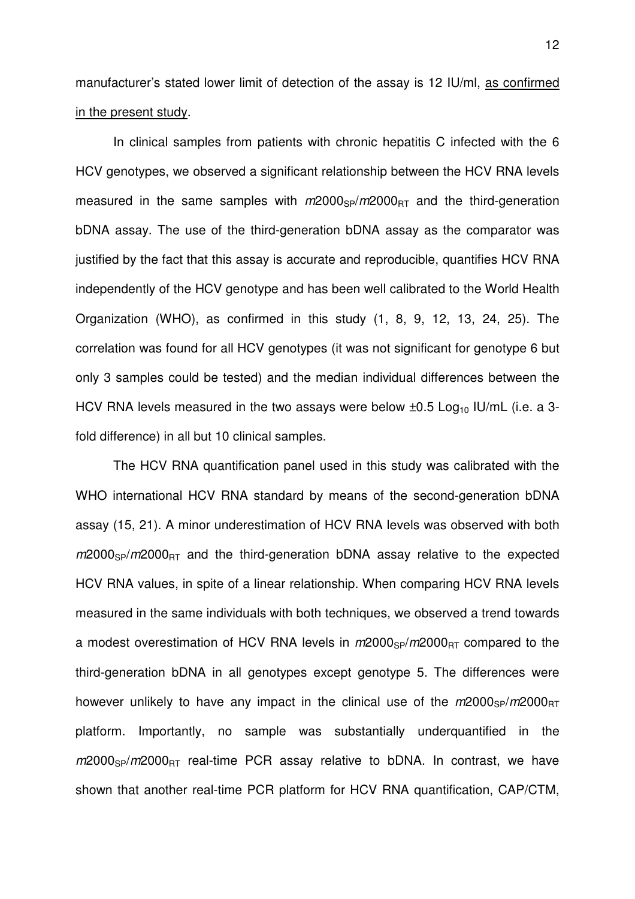manufacturer's stated lower limit of detection of the assay is 12 IU/ml, as confirmed in the present study.

In clinical samples from patients with chronic hepatitis C infected with the 6 HCV genotypes, we observed a significant relationship between the HCV RNA levels measured in the same samples with  $m2000_{\text{SP}}/m2000_{\text{BT}}$  and the third-generation bDNA assay. The use of the third-generation bDNA assay as the comparator was justified by the fact that this assay is accurate and reproducible, quantifies HCV RNA independently of the HCV genotype and has been well calibrated to the World Health Organization (WHO), as confirmed in this study (1, 8, 9, 12, 13, 24, 25). The correlation was found for all HCV genotypes (it was not significant for genotype 6 but only 3 samples could be tested) and the median individual differences between the HCV RNA levels measured in the two assays were below  $\pm 0.5$  Log<sub>10</sub> IU/mL (i.e. a 3fold difference) in all but 10 clinical samples.

The HCV RNA quantification panel used in this study was calibrated with the WHO international HCV RNA standard by means of the second-generation bDNA assay (15, 21). A minor underestimation of HCV RNA levels was observed with both  $m2000_{SP}/m2000_{BT}$  and the third-generation bDNA assay relative to the expected HCV RNA values, in spite of a linear relationship. When comparing HCV RNA levels measured in the same individuals with both techniques, we observed a trend towards a modest overestimation of HCV RNA levels in  $m2000_{SP}/m2000_{BT}$  compared to the third-generation bDNA in all genotypes except genotype 5. The differences were however unlikely to have any impact in the clinical use of the  $m/2000_{\text{SP}}/m/2000_{\text{RT}}$ platform. Importantly, no sample was substantially underquantified in the  $m2000_{SP}/m2000_{RT}$  real-time PCR assay relative to bDNA. In contrast, we have shown that another real-time PCR platform for HCV RNA quantification, CAP/CTM,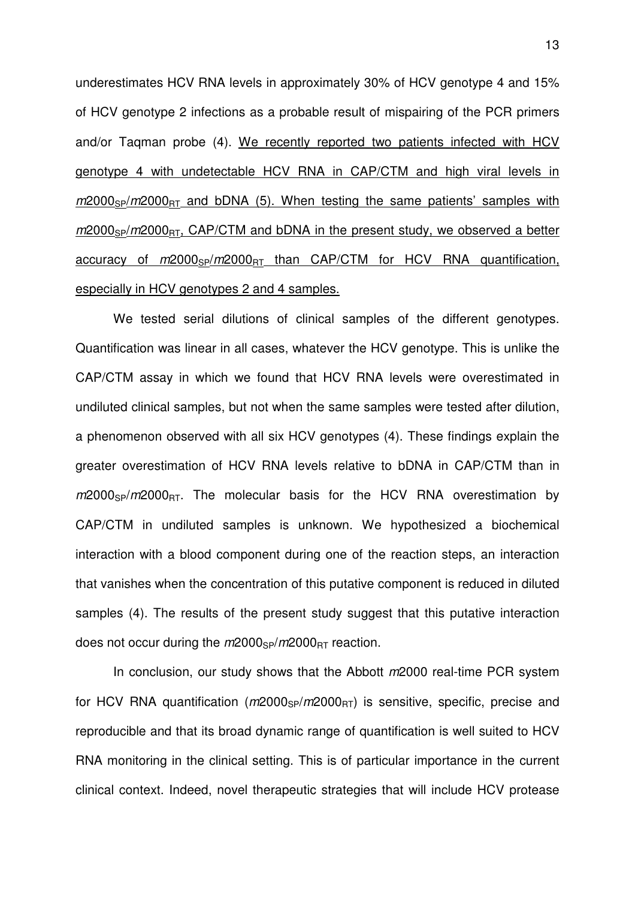underestimates HCV RNA levels in approximately 30% of HCV genotype 4 and 15% of HCV genotype 2 infections as a probable result of mispairing of the PCR primers and/or Taqman probe (4). We recently reported two patients infected with HCV genotype 4 with undetectable HCV RNA in CAP/CTM and high viral levels in  $m2000_{SP}/m2000_{RT}$  and bDNA (5). When testing the same patients' samples with  $m2000_{SP}/m2000_{BT}$ , CAP/CTM and bDNA in the present study, we observed a better accuracy of  $m2000_{SP}/m2000_{BT}$  than CAP/CTM for HCV RNA quantification, especially in HCV genotypes 2 and 4 samples.

We tested serial dilutions of clinical samples of the different genotypes. Quantification was linear in all cases, whatever the HCV genotype. This is unlike the CAP/CTM assay in which we found that HCV RNA levels were overestimated in undiluted clinical samples, but not when the same samples were tested after dilution, a phenomenon observed with all six HCV genotypes (4). These findings explain the greater overestimation of HCV RNA levels relative to bDNA in CAP/CTM than in  $m2000_{SP}/m2000_{RT}$ . The molecular basis for the HCV RNA overestimation by CAP/CTM in undiluted samples is unknown. We hypothesized a biochemical interaction with a blood component during one of the reaction steps, an interaction that vanishes when the concentration of this putative component is reduced in diluted samples (4). The results of the present study suggest that this putative interaction does not occur during the  $m2000_{SP}/m2000_{BT}$  reaction.

In conclusion, our study shows that the Abbott m2000 real-time PCR system for HCV RNA quantification ( $m2000_{SP}/m2000_{RT}$ ) is sensitive, specific, precise and reproducible and that its broad dynamic range of quantification is well suited to HCV RNA monitoring in the clinical setting. This is of particular importance in the current clinical context. Indeed, novel therapeutic strategies that will include HCV protease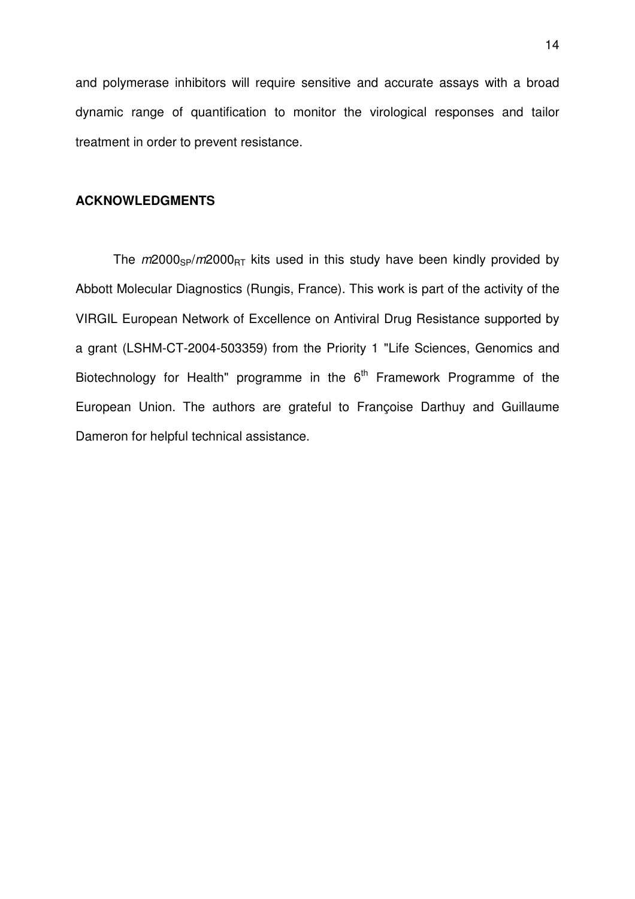and polymerase inhibitors will require sensitive and accurate assays with a broad dynamic range of quantification to monitor the virological responses and tailor treatment in order to prevent resistance.

#### **ACKNOWLEDGMENTS**

The  $m2000_{SP}/m2000_{BT}$  kits used in this study have been kindly provided by Abbott Molecular Diagnostics (Rungis, France). This work is part of the activity of the VIRGIL European Network of Excellence on Antiviral Drug Resistance supported by a grant (LSHM-CT-2004-503359) from the Priority 1 "Life Sciences, Genomics and Biotechnology for Health" programme in the  $6<sup>th</sup>$  Framework Programme of the European Union. The authors are grateful to Françoise Darthuy and Guillaume Dameron for helpful technical assistance.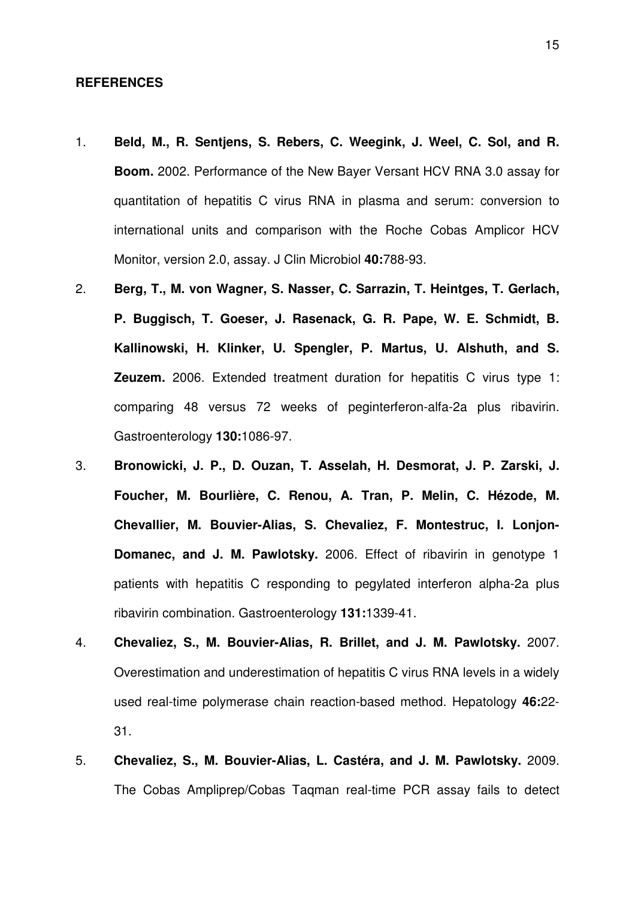#### **REFERENCES**

- 1. **Beld, M., R. Sentjens, S. Rebers, C. Weegink, J. Weel, C. Sol, and R. Boom.** 2002. Performance of the New Bayer Versant HCV RNA 3.0 assay for quantitation of hepatitis C virus RNA in plasma and serum: conversion to international units and comparison with the Roche Cobas Amplicor HCV Monitor, version 2.0, assay. J Clin Microbiol **40:**788-93.
- 2. **Berg, T., M. von Wagner, S. Nasser, C. Sarrazin, T. Heintges, T. Gerlach, P. Buggisch, T. Goeser, J. Rasenack, G. R. Pape, W. E. Schmidt, B. Kallinowski, H. Klinker, U. Spengler, P. Martus, U. Alshuth, and S. Zeuzem.** 2006. Extended treatment duration for hepatitis C virus type 1: comparing 48 versus 72 weeks of peginterferon-alfa-2a plus ribavirin. Gastroenterology **130:**1086-97.
- 3. **Bronowicki, J. P., D. Ouzan, T. Asselah, H. Desmorat, J. P. Zarski, J. Foucher, M. Bourlière, C. Renou, A. Tran, P. Melin, C. Hézode, M. Chevallier, M. Bouvier-Alias, S. Chevaliez, F. Montestruc, I. Lonjon-Domanec, and J. M. Pawlotsky.** 2006. Effect of ribavirin in genotype 1 patients with hepatitis C responding to pegylated interferon alpha-2a plus ribavirin combination. Gastroenterology **131:**1339-41.
- 4. **Chevaliez, S., M. Bouvier-Alias, R. Brillet, and J. M. Pawlotsky.** 2007. Overestimation and underestimation of hepatitis C virus RNA levels in a widely used real-time polymerase chain reaction-based method. Hepatology **46:**22- 31.
- 5. **Chevaliez, S., M. Bouvier-Alias, L. Castéra, and J. M. Pawlotsky.** 2009. The Cobas Ampliprep/Cobas Taqman real-time PCR assay fails to detect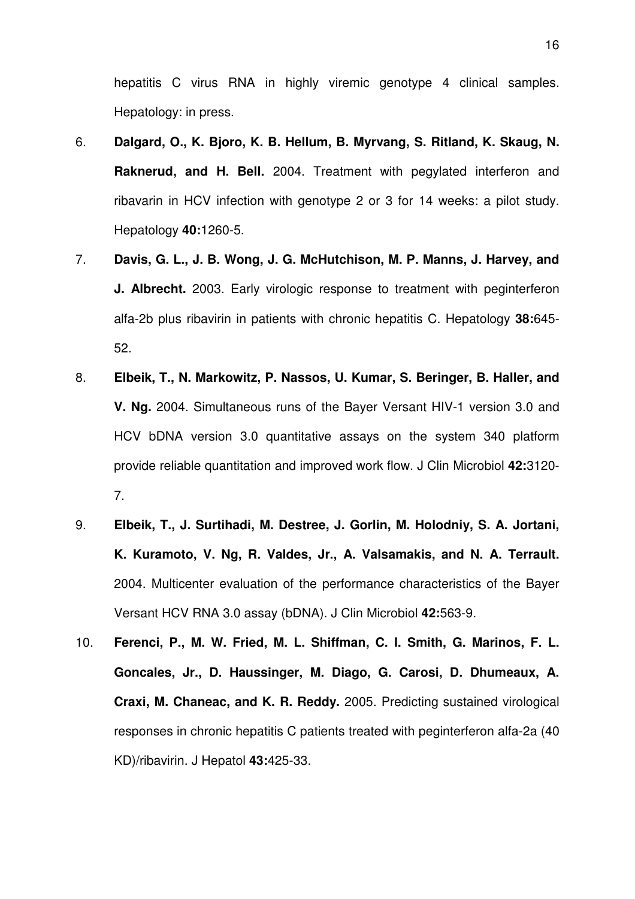hepatitis C virus RNA in highly viremic genotype 4 clinical samples. Hepatology: in press.

- 6. **Dalgard, O., K. Bjoro, K. B. Hellum, B. Myrvang, S. Ritland, K. Skaug, N. Raknerud, and H. Bell.** 2004. Treatment with pegylated interferon and ribavarin in HCV infection with genotype 2 or 3 for 14 weeks: a pilot study. Hepatology **40:**1260-5.
- 7. **Davis, G. L., J. B. Wong, J. G. McHutchison, M. P. Manns, J. Harvey, and J. Albrecht.** 2003. Early virologic response to treatment with peginterferon alfa-2b plus ribavirin in patients with chronic hepatitis C. Hepatology **38:**645- 52.
- 8. **Elbeik, T., N. Markowitz, P. Nassos, U. Kumar, S. Beringer, B. Haller, and V. Ng.** 2004. Simultaneous runs of the Bayer Versant HIV-1 version 3.0 and HCV bDNA version 3.0 quantitative assays on the system 340 platform provide reliable quantitation and improved work flow. J Clin Microbiol **42:**3120- 7.
- 9. **Elbeik, T., J. Surtihadi, M. Destree, J. Gorlin, M. Holodniy, S. A. Jortani, K. Kuramoto, V. Ng, R. Valdes, Jr., A. Valsamakis, and N. A. Terrault.** 2004. Multicenter evaluation of the performance characteristics of the Bayer Versant HCV RNA 3.0 assay (bDNA). J Clin Microbiol **42:**563-9.
- 10. **Ferenci, P., M. W. Fried, M. L. Shiffman, C. I. Smith, G. Marinos, F. L. Goncales, Jr., D. Haussinger, M. Diago, G. Carosi, D. Dhumeaux, A. Craxi, M. Chaneac, and K. R. Reddy.** 2005. Predicting sustained virological responses in chronic hepatitis C patients treated with peginterferon alfa-2a (40 KD)/ribavirin. J Hepatol **43:**425-33.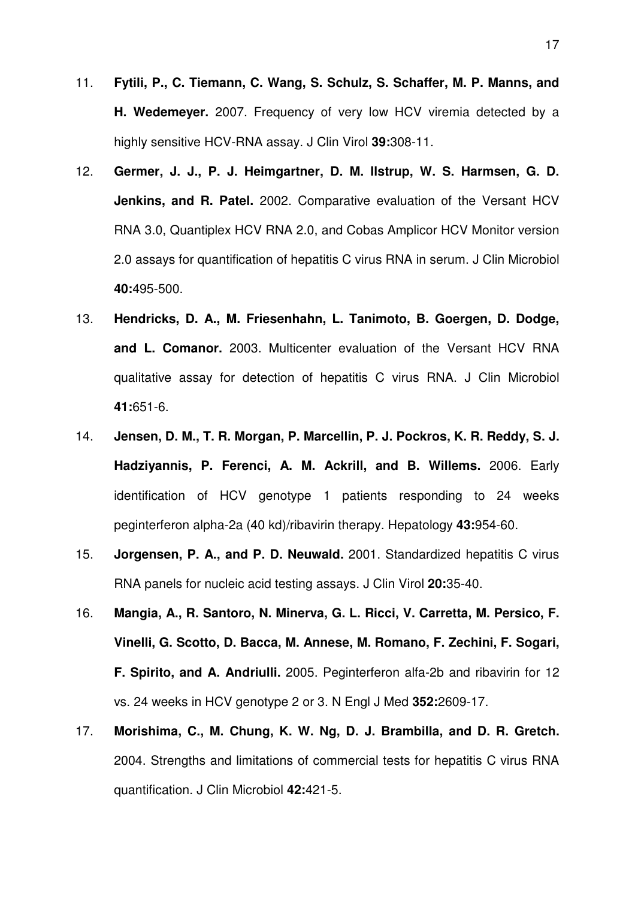- 11. **Fytili, P., C. Tiemann, C. Wang, S. Schulz, S. Schaffer, M. P. Manns, and H. Wedemeyer.** 2007. Frequency of very low HCV viremia detected by a highly sensitive HCV-RNA assay. J Clin Virol **39:**308-11.
- 12. **Germer, J. J., P. J. Heimgartner, D. M. Ilstrup, W. S. Harmsen, G. D. Jenkins, and R. Patel.** 2002. Comparative evaluation of the Versant HCV RNA 3.0, Quantiplex HCV RNA 2.0, and Cobas Amplicor HCV Monitor version 2.0 assays for quantification of hepatitis C virus RNA in serum. J Clin Microbiol **40:**495-500.
- 13. **Hendricks, D. A., M. Friesenhahn, L. Tanimoto, B. Goergen, D. Dodge, and L. Comanor.** 2003. Multicenter evaluation of the Versant HCV RNA qualitative assay for detection of hepatitis C virus RNA. J Clin Microbiol **41:**651-6.
- 14. **Jensen, D. M., T. R. Morgan, P. Marcellin, P. J. Pockros, K. R. Reddy, S. J. Hadziyannis, P. Ferenci, A. M. Ackrill, and B. Willems.** 2006. Early identification of HCV genotype 1 patients responding to 24 weeks peginterferon alpha-2a (40 kd)/ribavirin therapy. Hepatology **43:**954-60.
- 15. **Jorgensen, P. A., and P. D. Neuwald.** 2001. Standardized hepatitis C virus RNA panels for nucleic acid testing assays. J Clin Virol **20:**35-40.
- 16. **Mangia, A., R. Santoro, N. Minerva, G. L. Ricci, V. Carretta, M. Persico, F. Vinelli, G. Scotto, D. Bacca, M. Annese, M. Romano, F. Zechini, F. Sogari, F. Spirito, and A. Andriulli.** 2005. Peginterferon alfa-2b and ribavirin for 12 vs. 24 weeks in HCV genotype 2 or 3. N Engl J Med **352:**2609-17.
- 17. **Morishima, C., M. Chung, K. W. Ng, D. J. Brambilla, and D. R. Gretch.** 2004. Strengths and limitations of commercial tests for hepatitis C virus RNA quantification. J Clin Microbiol **42:**421-5.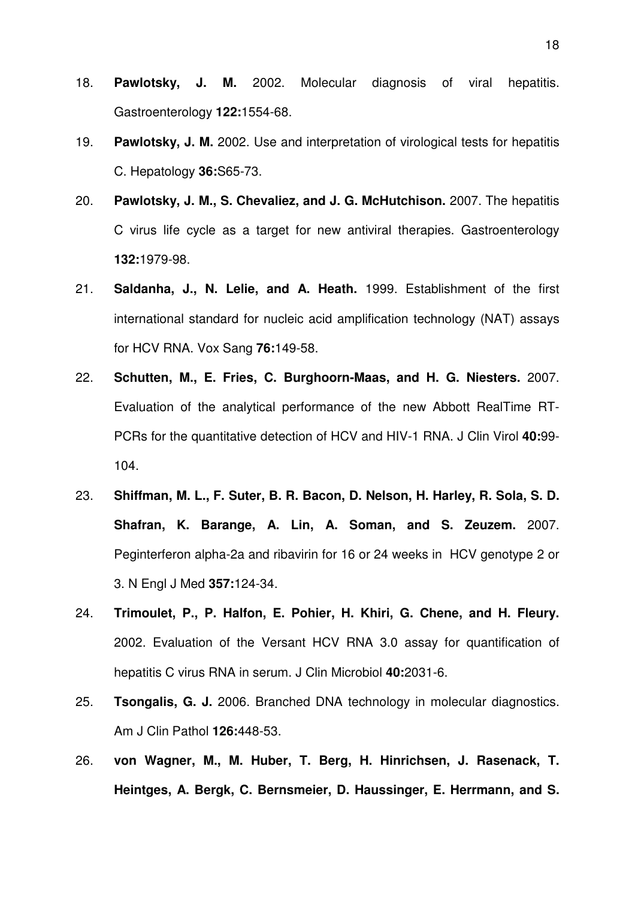- 18. **Pawlotsky, J. M.** 2002. Molecular diagnosis of viral hepatitis. Gastroenterology **122:**1554-68.
- 19. **Pawlotsky, J. M.** 2002. Use and interpretation of virological tests for hepatitis C. Hepatology **36:**S65-73.
- 20. **Pawlotsky, J. M., S. Chevaliez, and J. G. McHutchison.** 2007. The hepatitis C virus life cycle as a target for new antiviral therapies. Gastroenterology **132:**1979-98.
- 21. **Saldanha, J., N. Lelie, and A. Heath.** 1999. Establishment of the first international standard for nucleic acid amplification technology (NAT) assays for HCV RNA. Vox Sang **76:**149-58.
- 22. **Schutten, M., E. Fries, C. Burghoorn-Maas, and H. G. Niesters.** 2007. Evaluation of the analytical performance of the new Abbott RealTime RT-PCRs for the quantitative detection of HCV and HIV-1 RNA. J Clin Virol **40:**99- 104.
- 23. **Shiffman, M. L., F. Suter, B. R. Bacon, D. Nelson, H. Harley, R. Sola, S. D. Shafran, K. Barange, A. Lin, A. Soman, and S. Zeuzem.** 2007. Peginterferon alpha-2a and ribavirin for 16 or 24 weeks in HCV genotype 2 or 3. N Engl J Med **357:**124-34.
- 24. **Trimoulet, P., P. Halfon, E. Pohier, H. Khiri, G. Chene, and H. Fleury.** 2002. Evaluation of the Versant HCV RNA 3.0 assay for quantification of hepatitis C virus RNA in serum. J Clin Microbiol **40:**2031-6.
- 25. **Tsongalis, G. J.** 2006. Branched DNA technology in molecular diagnostics. Am J Clin Pathol **126:**448-53.
- 26. **von Wagner, M., M. Huber, T. Berg, H. Hinrichsen, J. Rasenack, T. Heintges, A. Bergk, C. Bernsmeier, D. Haussinger, E. Herrmann, and S.**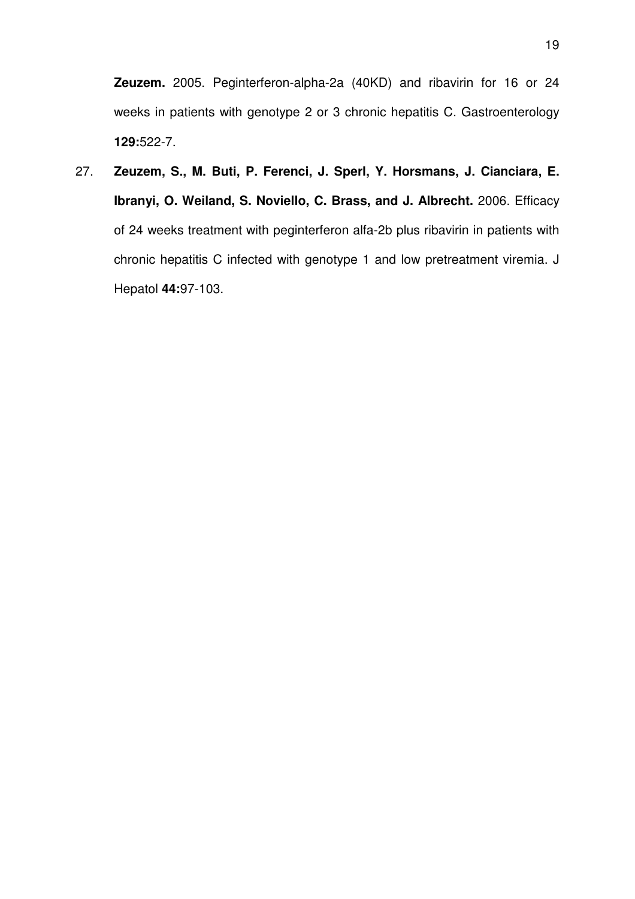**Zeuzem.** 2005. Peginterferon-alpha-2a (40KD) and ribavirin for 16 or 24 weeks in patients with genotype 2 or 3 chronic hepatitis C. Gastroenterology **129:**522-7.

27. **Zeuzem, S., M. Buti, P. Ferenci, J. Sperl, Y. Horsmans, J. Cianciara, E. Ibranyi, O. Weiland, S. Noviello, C. Brass, and J. Albrecht.** 2006. Efficacy of 24 weeks treatment with peginterferon alfa-2b plus ribavirin in patients with chronic hepatitis C infected with genotype 1 and low pretreatment viremia. J Hepatol **44:**97-103.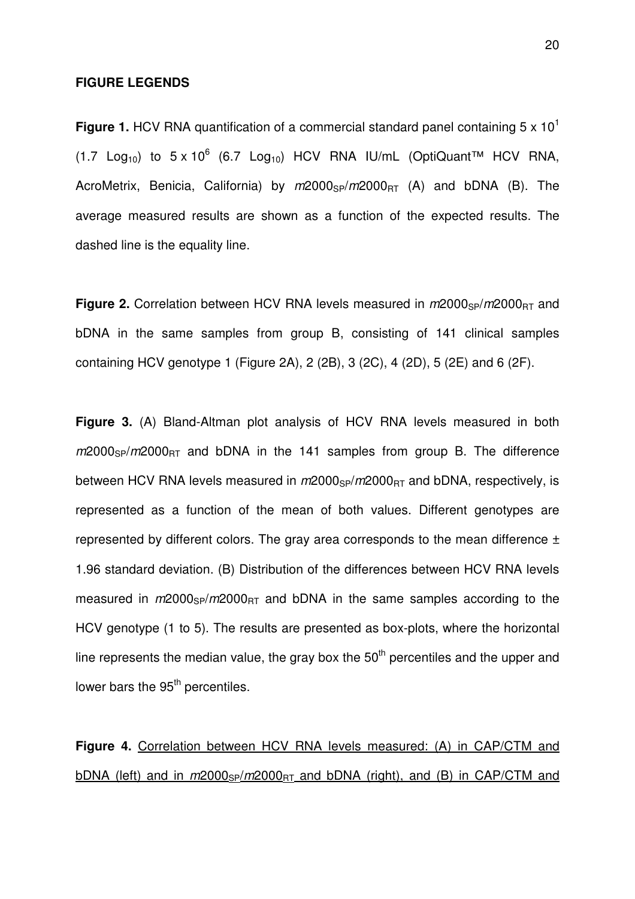#### **FIGURE LEGENDS**

**Figure 1.** HCV RNA quantification of a commercial standard panel containing 5 x 10<sup>1</sup>  $(1.7 \text{Log}_{10})$  to  $5 \times 10^6$  (6.7 Log<sub>10</sub>) HCV RNA IU/mL (OptiQuant<sup>TM</sup> HCV RNA, AcroMetrix, Benicia, California) by  $m2000_{SP}/m2000_{BT}$  (A) and bDNA (B). The average measured results are shown as a function of the expected results. The dashed line is the equality line.

**Figure 2.** Correlation between HCV RNA levels measured in  $m2000_{SP}/m2000_{BT}$  and bDNA in the same samples from group B, consisting of 141 clinical samples containing HCV genotype 1 (Figure 2A), 2 (2B), 3 (2C), 4 (2D), 5 (2E) and 6 (2F).

**Figure 3.** (A) Bland-Altman plot analysis of HCV RNA levels measured in both  $m2000_{SP}/m2000_{BT}$  and bDNA in the 141 samples from group B. The difference between HCV RNA levels measured in  $m2000_{SP}/m2000_{BT}$  and bDNA, respectively, is represented as a function of the mean of both values. Different genotypes are represented by different colors. The gray area corresponds to the mean difference  $\pm$ 1.96 standard deviation. (B) Distribution of the differences between HCV RNA levels measured in  $m2000_{SP}/m2000_{BT}$  and bDNA in the same samples according to the HCV genotype (1 to 5). The results are presented as box-plots, where the horizontal line represents the median value, the gray box the  $50<sup>th</sup>$  percentiles and the upper and lower bars the 95<sup>th</sup> percentiles.

**Figure 4.** Correlation between HCV RNA levels measured: (A) in CAP/CTM and  $bDNA$  (left) and in  $m2000<sub>SP</sub>/m2000<sub>RT</sub>$  and bDNA (right), and (B) in CAP/CTM and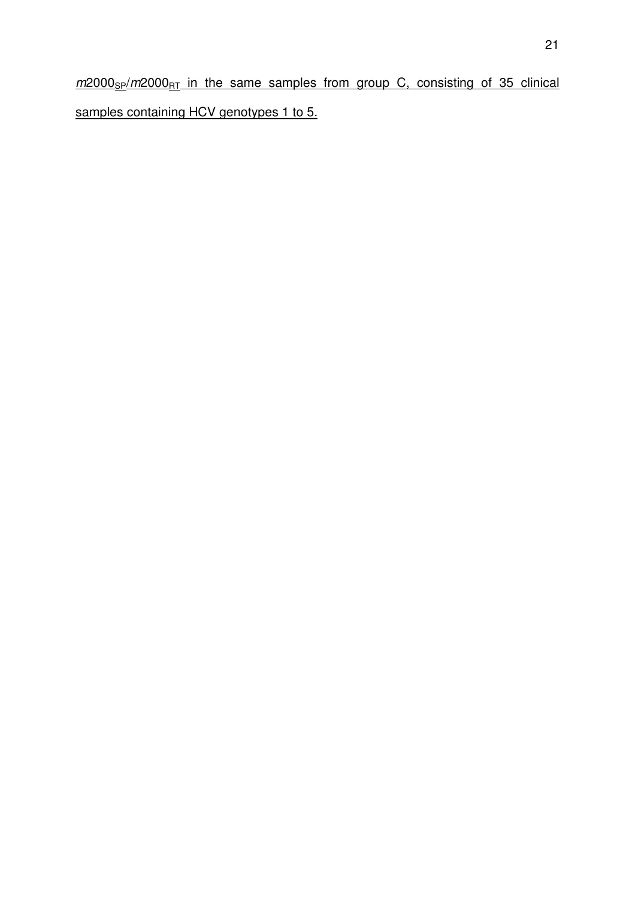$m2000_{SP}/m2000_{RT}$  in the same samples from group C, consisting of 35 clinical samples containing HCV genotypes 1 to 5.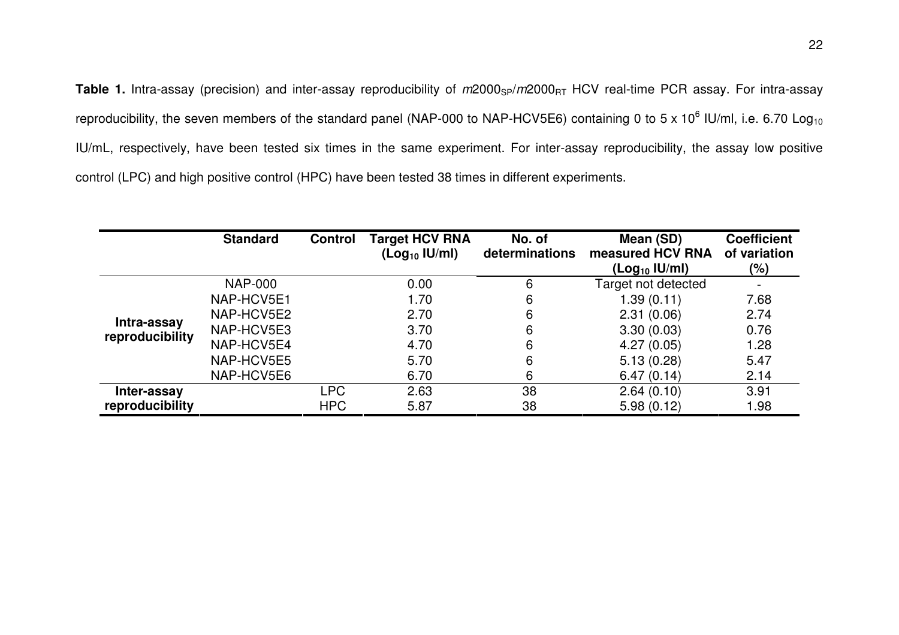Table 1. Intra-assay (precision) and inter-assay reproducibility of m2000<sub>SP</sub>/m2000<sub>RT</sub> HCV real-time PCR assay. For intra-assay reproducibility, the seven members of the standard panel (NAP-000 to NAP-HCV5E6) containing 0 to 5 x 10<sup>6</sup> IU/ml, i.e. 6.70 Log<sub>10</sub> IU/mL, respectively, have been tested six times in the same experiment. For inter-assay reproducibility, the assay low positive control (LPC) and high positive control (HPC) have been tested 38 times in different experiments.

|                                | <b>Standard</b> | <b>Control</b> | <b>Target HCV RNA</b><br>(Log <sub>10</sub>  U/ml) | No. of<br>determinations | Mean (SD)<br>measured HCV RNA | <b>Coefficient</b><br>of variation |
|--------------------------------|-----------------|----------------|----------------------------------------------------|--------------------------|-------------------------------|------------------------------------|
|                                |                 |                |                                                    |                          | $($ Log $_{10}$ IU/ml $)$     | (%)                                |
| Intra-assay<br>reproducibility | <b>NAP-000</b>  |                | 0.00                                               | 6                        | Target not detected           |                                    |
|                                | NAP-HCV5E1      |                | 1.70                                               | 6                        | 1.39(0.11)                    | 7.68                               |
|                                | NAP-HCV5E2      |                | 2.70                                               | 6                        | 2.31(0.06)                    | 2.74                               |
|                                | NAP-HCV5E3      |                | 3.70                                               | 6                        | 3.30(0.03)                    | 0.76                               |
|                                | NAP-HCV5E4      |                | 4.70                                               | 6                        | 4.27(0.05)                    | 1.28                               |
|                                | NAP-HCV5E5      |                | 5.70                                               | 6                        | 5.13(0.28)                    | 5.47                               |
|                                | NAP-HCV5E6      |                | 6.70                                               | 6                        | 6.47(0.14)                    | 2.14                               |
| Inter-assay                    |                 | <b>LPC</b>     | 2.63                                               | 38                       | 2.64(0.10)                    | 3.91                               |
| reproducibility                |                 | <b>HPC</b>     | 5.87                                               | 38                       | 5.98(0.12)                    | 1.98                               |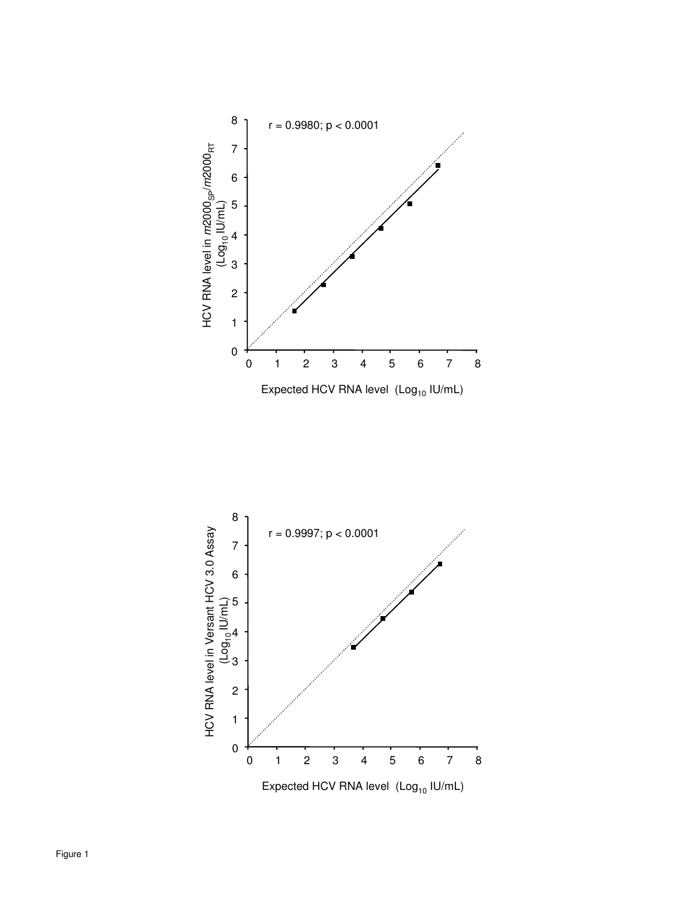

Expected HCV RNA level  $(Log_{10}$  IU/mL)

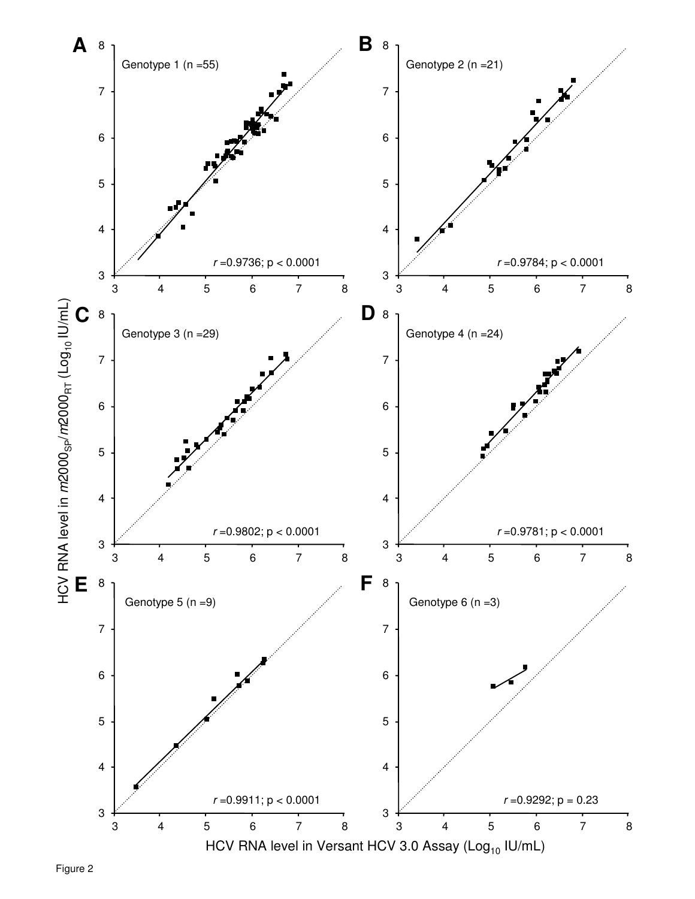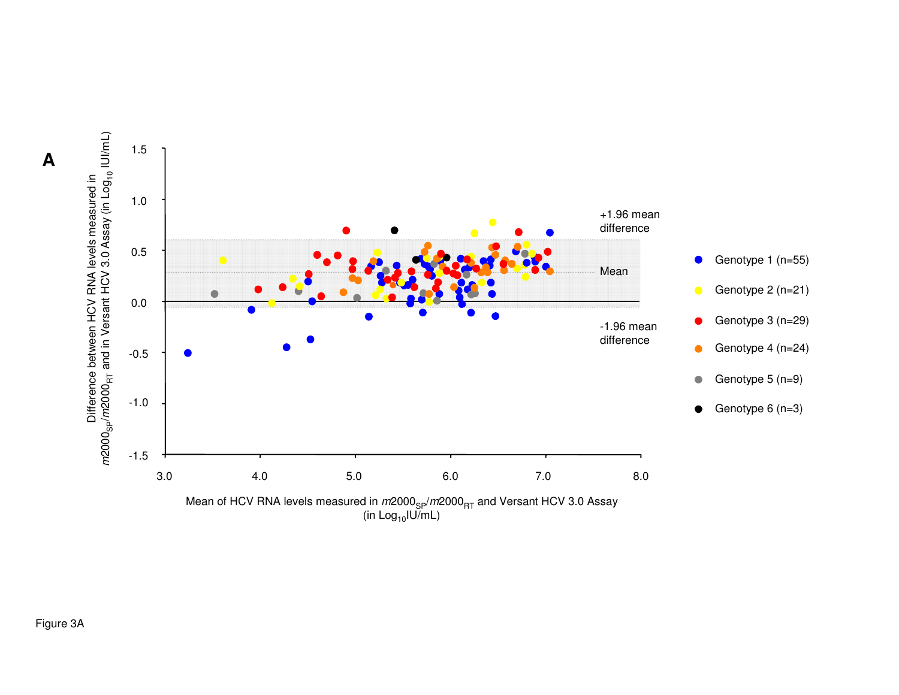

Figure 3A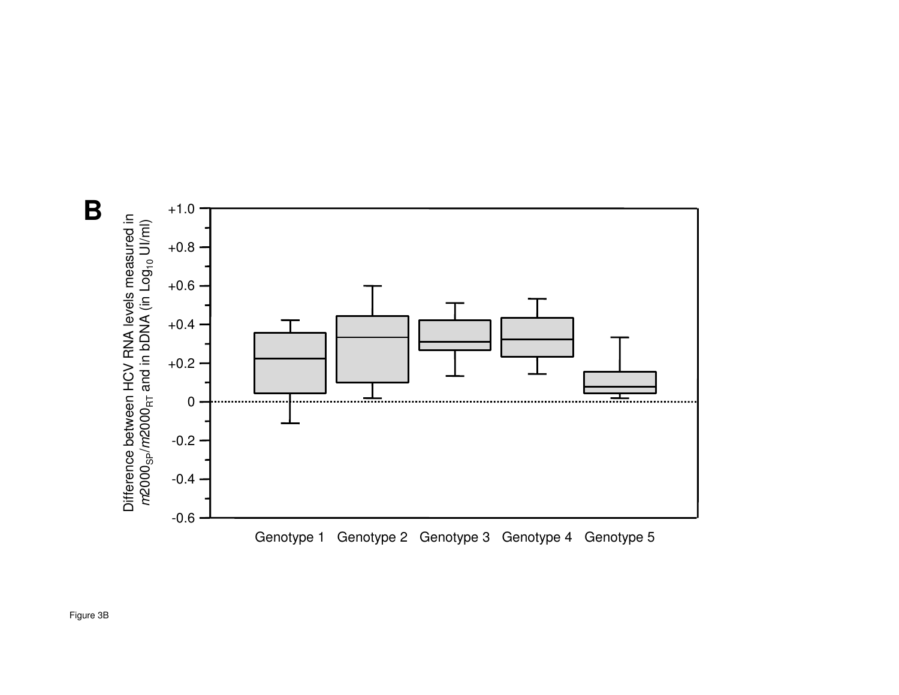

**B**

Figure 3B